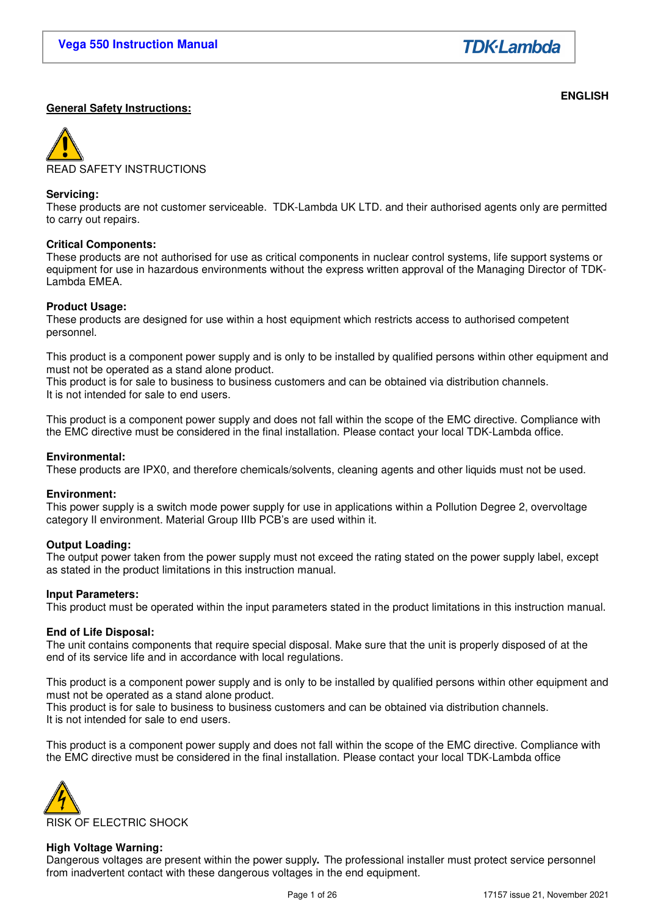**ENGLISH** 

# **General Safety Instructions:**

READ SAFETY INSTRUCTIONS

### **Servicing:**

These products are not customer serviceable. TDK-Lambda UK LTD. and their authorised agents only are permitted to carry out repairs.

### **Critical Components:**

These products are not authorised for use as critical components in nuclear control systems, life support systems or equipment for use in hazardous environments without the express written approval of the Managing Director of TDK-Lambda EMEA.

### **Product Usage:**

These products are designed for use within a host equipment which restricts access to authorised competent personnel.

This product is a component power supply and is only to be installed by qualified persons within other equipment and must not be operated as a stand alone product.

This product is for sale to business to business customers and can be obtained via distribution channels. It is not intended for sale to end users.

This product is a component power supply and does not fall within the scope of the EMC directive. Compliance with the EMC directive must be considered in the final installation. Please contact your local TDK-Lambda office.

### **Environmental:**

These products are IPX0, and therefore chemicals/solvents, cleaning agents and other liquids must not be used.

### **Environment:**

This power supply is a switch mode power supply for use in applications within a Pollution Degree 2, overvoltage category II environment. Material Group IIIb PCB's are used within it.

### **Output Loading:**

The output power taken from the power supply must not exceed the rating stated on the power supply label, except as stated in the product limitations in this instruction manual.

### **Input Parameters:**

This product must be operated within the input parameters stated in the product limitations in this instruction manual.

### **End of Life Disposal:**

The unit contains components that require special disposal. Make sure that the unit is properly disposed of at the end of its service life and in accordance with local regulations.

This product is a component power supply and is only to be installed by qualified persons within other equipment and must not be operated as a stand alone product.

This product is for sale to business to business customers and can be obtained via distribution channels. It is not intended for sale to end users.

This product is a component power supply and does not fall within the scope of the EMC directive. Compliance with the EMC directive must be considered in the final installation. Please contact your local TDK-Lambda office



### **High Voltage Warning:**

Dangerous voltages are present within the power supply**.** The professional installer must protect service personnel from inadvertent contact with these dangerous voltages in the end equipment.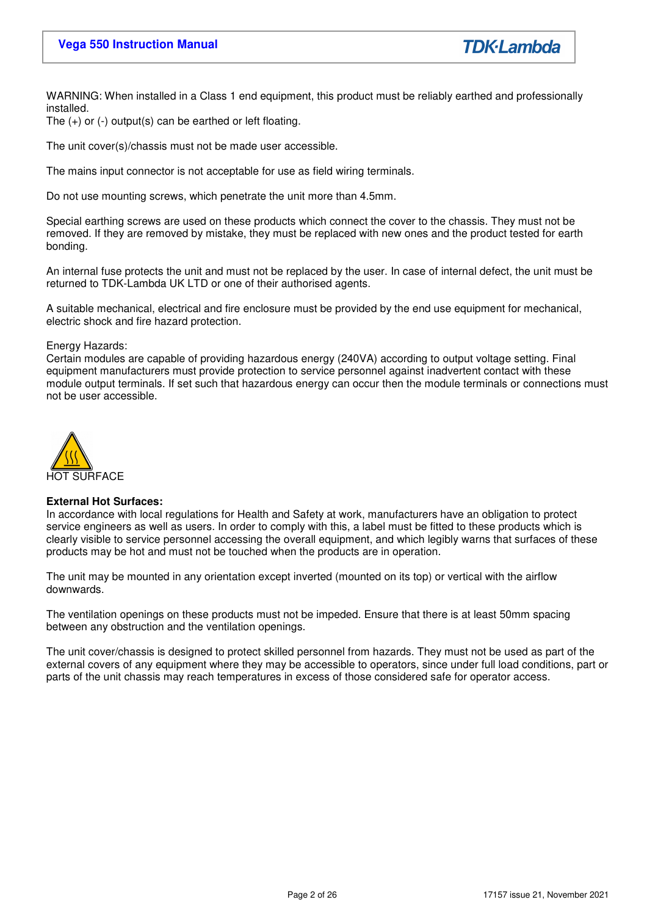**TDK**·Lambda

WARNING: When installed in a Class 1 end equipment, this product must be reliably earthed and professionally installed.

The (+) or (-) output(s) can be earthed or left floating.

The unit cover(s)/chassis must not be made user accessible.

The mains input connector is not acceptable for use as field wiring terminals.

Do not use mounting screws, which penetrate the unit more than 4.5mm.

Special earthing screws are used on these products which connect the cover to the chassis. They must not be removed. If they are removed by mistake, they must be replaced with new ones and the product tested for earth bonding.

An internal fuse protects the unit and must not be replaced by the user. In case of internal defect, the unit must be returned to TDK-Lambda UK LTD or one of their authorised agents.

A suitable mechanical, electrical and fire enclosure must be provided by the end use equipment for mechanical, electric shock and fire hazard protection.

### Energy Hazards:

Certain modules are capable of providing hazardous energy (240VA) according to output voltage setting. Final equipment manufacturers must provide protection to service personnel against inadvertent contact with these module output terminals. If set such that hazardous energy can occur then the module terminals or connections must not be user accessible.



### **External Hot Surfaces:**

In accordance with local regulations for Health and Safety at work, manufacturers have an obligation to protect service engineers as well as users. In order to comply with this, a label must be fitted to these products which is clearly visible to service personnel accessing the overall equipment, and which legibly warns that surfaces of these products may be hot and must not be touched when the products are in operation.

The unit may be mounted in any orientation except inverted (mounted on its top) or vertical with the airflow downwards.

The ventilation openings on these products must not be impeded. Ensure that there is at least 50mm spacing between any obstruction and the ventilation openings.

The unit cover/chassis is designed to protect skilled personnel from hazards. They must not be used as part of the external covers of any equipment where they may be accessible to operators, since under full load conditions, part or parts of the unit chassis may reach temperatures in excess of those considered safe for operator access.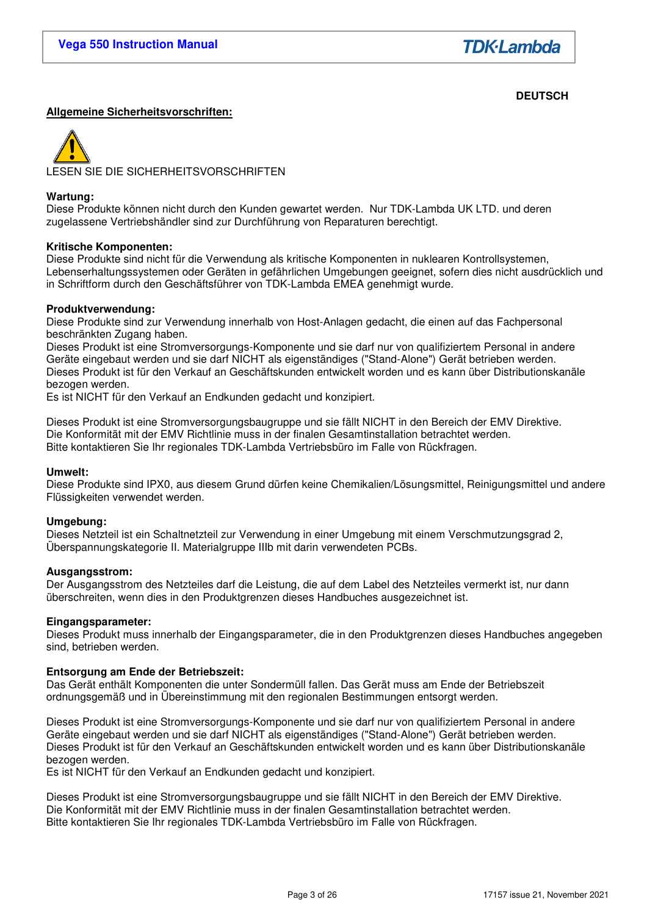**TDK**·Lambda

# **DEUTSCH**

# **Allgemeine Sicherheitsvorschriften:**



#### **Wartung:**

Diese Produkte können nicht durch den Kunden gewartet werden. Nur TDK-Lambda UK LTD. und deren zugelassene Vertriebshändler sind zur Durchführung von Reparaturen berechtigt.

#### **Kritische Komponenten:**

Diese Produkte sind nicht für die Verwendung als kritische Komponenten in nuklearen Kontrollsystemen, Lebenserhaltungssystemen oder Geräten in gefährlichen Umgebungen geeignet, sofern dies nicht ausdrücklich und in Schriftform durch den Geschäftsführer von TDK-Lambda EMEA genehmigt wurde.

### **Produktverwendung:**

Diese Produkte sind zur Verwendung innerhalb von Host-Anlagen gedacht, die einen auf das Fachpersonal beschränkten Zugang haben.

Dieses Produkt ist eine Stromversorgungs-Komponente und sie darf nur von qualifiziertem Personal in andere Geräte eingebaut werden und sie darf NICHT als eigenständiges ("Stand-Alone") Gerät betrieben werden. Dieses Produkt ist für den Verkauf an Geschäftskunden entwickelt worden und es kann über Distributionskanäle bezogen werden.

Es ist NICHT für den Verkauf an Endkunden gedacht und konzipiert.

Dieses Produkt ist eine Stromversorgungsbaugruppe und sie fällt NICHT in den Bereich der EMV Direktive. Die Konformität mit der EMV Richtlinie muss in der finalen Gesamtinstallation betrachtet werden. Bitte kontaktieren Sie Ihr regionales TDK-Lambda Vertriebsbüro im Falle von Rückfragen.

### **Umwelt:**

Diese Produkte sind IPX0, aus diesem Grund dürfen keine Chemikalien/Lösungsmittel, Reinigungsmittel und andere Flüssigkeiten verwendet werden.

### **Umgebung:**

Dieses Netzteil ist ein Schaltnetzteil zur Verwendung in einer Umgebung mit einem Verschmutzungsgrad 2, Überspannungskategorie II. Materialgruppe IIIb mit darin verwendeten PCBs.

#### **Ausgangsstrom:**

Der Ausgangsstrom des Netzteiles darf die Leistung, die auf dem Label des Netzteiles vermerkt ist, nur dann überschreiten, wenn dies in den Produktgrenzen dieses Handbuches ausgezeichnet ist.

#### **Eingangsparameter:**

Dieses Produkt muss innerhalb der Eingangsparameter, die in den Produktgrenzen dieses Handbuches angegeben sind, betrieben werden.

### **Entsorgung am Ende der Betriebszeit:**

Das Gerät enthält Komponenten die unter Sondermüll fallen. Das Gerät muss am Ende der Betriebszeit ordnungsgemäß und in Übereinstimmung mit den regionalen Bestimmungen entsorgt werden.

Dieses Produkt ist eine Stromversorgungs-Komponente und sie darf nur von qualifiziertem Personal in andere Geräte eingebaut werden und sie darf NICHT als eigenständiges ("Stand-Alone") Gerät betrieben werden. Dieses Produkt ist für den Verkauf an Geschäftskunden entwickelt worden und es kann über Distributionskanäle bezogen werden.

Es ist NICHT für den Verkauf an Endkunden gedacht und konzipiert.

Dieses Produkt ist eine Stromversorgungsbaugruppe und sie fällt NICHT in den Bereich der EMV Direktive. Die Konformität mit der EMV Richtlinie muss in der finalen Gesamtinstallation betrachtet werden. Bitte kontaktieren Sie Ihr regionales TDK-Lambda Vertriebsbüro im Falle von Rückfragen.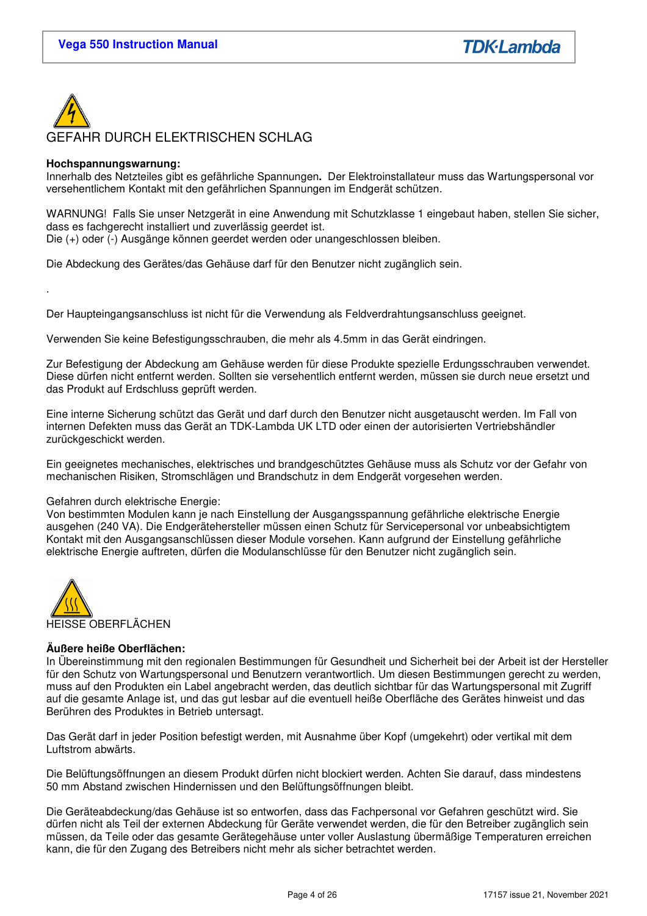

### **Hochspannungswarnung:**

.

Innerhalb des Netzteiles gibt es gefährliche Spannungen**.** Der Elektroinstallateur muss das Wartungspersonal vor versehentlichem Kontakt mit den gefährlichen Spannungen im Endgerät schützen.

WARNUNG! Falls Sie unser Netzgerät in eine Anwendung mit Schutzklasse 1 eingebaut haben, stellen Sie sicher, dass es fachgerecht installiert und zuverlässig geerdet ist.

Die (+) oder (-) Ausgänge können geerdet werden oder unangeschlossen bleiben.

Die Abdeckung des Gerätes/das Gehäuse darf für den Benutzer nicht zugänglich sein.

Der Haupteingangsanschluss ist nicht für die Verwendung als Feldverdrahtungsanschluss geeignet.

Verwenden Sie keine Befestigungsschrauben, die mehr als 4.5mm in das Gerät eindringen.

Zur Befestigung der Abdeckung am Gehäuse werden für diese Produkte spezielle Erdungsschrauben verwendet. Diese dürfen nicht entfernt werden. Sollten sie versehentlich entfernt werden, müssen sie durch neue ersetzt und das Produkt auf Erdschluss geprüft werden.

Eine interne Sicherung schützt das Gerät und darf durch den Benutzer nicht ausgetauscht werden. Im Fall von internen Defekten muss das Gerät an TDK-Lambda UK LTD oder einen der autorisierten Vertriebshändler zurückgeschickt werden.

Ein geeignetes mechanisches, elektrisches und brandgeschütztes Gehäuse muss als Schutz vor der Gefahr von mechanischen Risiken, Stromschlägen und Brandschutz in dem Endgerät vorgesehen werden.

### Gefahren durch elektrische Energie:

Von bestimmten Modulen kann je nach Einstellung der Ausgangsspannung gefährliche elektrische Energie ausgehen (240 VA). Die Endgerätehersteller müssen einen Schutz für Servicepersonal vor unbeabsichtigtem Kontakt mit den Ausgangsanschlüssen dieser Module vorsehen. Kann aufgrund der Einstellung gefährliche elektrische Energie auftreten, dürfen die Modulanschlüsse für den Benutzer nicht zugänglich sein.



# **Äußere heiße Oberflächen:**

In Übereinstimmung mit den regionalen Bestimmungen für Gesundheit und Sicherheit bei der Arbeit ist der Hersteller für den Schutz von Wartungspersonal und Benutzern verantwortlich. Um diesen Bestimmungen gerecht zu werden, muss auf den Produkten ein Label angebracht werden, das deutlich sichtbar für das Wartungspersonal mit Zugriff auf die gesamte Anlage ist, und das gut lesbar auf die eventuell heiße Oberfläche des Gerätes hinweist und das Berühren des Produktes in Betrieb untersagt.

Das Gerät darf in jeder Position befestigt werden, mit Ausnahme über Kopf (umgekehrt) oder vertikal mit dem Luftstrom abwärts.

Die Belüftungsöffnungen an diesem Produkt dürfen nicht blockiert werden. Achten Sie darauf, dass mindestens 50 mm Abstand zwischen Hindernissen und den Belüftungsöffnungen bleibt.

Die Geräteabdeckung/das Gehäuse ist so entworfen, dass das Fachpersonal vor Gefahren geschützt wird. Sie dürfen nicht als Teil der externen Abdeckung für Geräte verwendet werden, die für den Betreiber zugänglich sein müssen, da Teile oder das gesamte Gerätegehäuse unter voller Auslastung übermäßige Temperaturen erreichen kann, die für den Zugang des Betreibers nicht mehr als sicher betrachtet werden.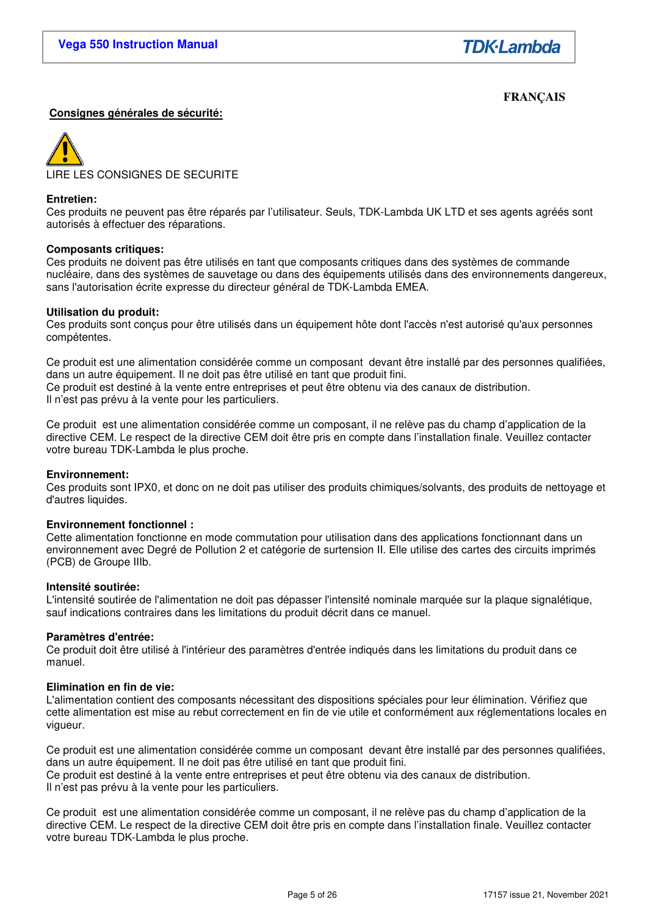# **FRANÇAIS**

### **Consignes générales de sécurité:**



### **Entretien:**

Ces produits ne peuvent pas être réparés par l'utilisateur. Seuls, TDK-Lambda UK LTD et ses agents agréés sont autorisés à effectuer des réparations.

### **Composants critiques:**

Ces produits ne doivent pas être utilisés en tant que composants critiques dans des systèmes de commande nucléaire, dans des systèmes de sauvetage ou dans des équipements utilisés dans des environnements dangereux, sans l'autorisation écrite expresse du directeur général de TDK-Lambda EMEA.

### **Utilisation du produit:**

Ces produits sont conçus pour être utilisés dans un équipement hôte dont l'accès n'est autorisé qu'aux personnes compétentes.

Ce produit est une alimentation considérée comme un composant devant être installé par des personnes qualifiées, dans un autre équipement. Il ne doit pas être utilisé en tant que produit fini. Ce produit est destiné à la vente entre entreprises et peut être obtenu via des canaux de distribution. Il n'est pas prévu à la vente pour les particuliers.

Ce produit est une alimentation considérée comme un composant, il ne relève pas du champ d'application de la directive CEM. Le respect de la directive CEM doit être pris en compte dans l'installation finale. Veuillez contacter votre bureau TDK-Lambda le plus proche.

#### **Environnement:**

Ces produits sont IPX0, et donc on ne doit pas utiliser des produits chimiques/solvants, des produits de nettoyage et d'autres liquides.

### **Environnement fonctionnel :**

Cette alimentation fonctionne en mode commutation pour utilisation dans des applications fonctionnant dans un environnement avec Degré de Pollution 2 et catégorie de surtension II. Elle utilise des cartes des circuits imprimés (PCB) de Groupe IIIb.

#### **Intensité soutirée:**

L'intensité soutirée de l'alimentation ne doit pas dépasser l'intensité nominale marquée sur la plaque signalétique, sauf indications contraires dans les limitations du produit décrit dans ce manuel.

### **Paramètres d'entrée:**

Ce produit doit être utilisé à l'intérieur des paramètres d'entrée indiqués dans les limitations du produit dans ce manuel.

### **Elimination en fin de vie:**

L'alimentation contient des composants nécessitant des dispositions spéciales pour leur élimination. Vérifiez que cette alimentation est mise au rebut correctement en fin de vie utile et conformément aux réglementations locales en vigueur.

Ce produit est une alimentation considérée comme un composant devant être installé par des personnes qualifiées, dans un autre équipement. Il ne doit pas être utilisé en tant que produit fini. Ce produit est destiné à la vente entre entreprises et peut être obtenu via des canaux de distribution. Il n'est pas prévu à la vente pour les particuliers.

Ce produit est une alimentation considérée comme un composant, il ne relève pas du champ d'application de la directive CEM. Le respect de la directive CEM doit être pris en compte dans l'installation finale. Veuillez contacter votre bureau TDK-Lambda le plus proche.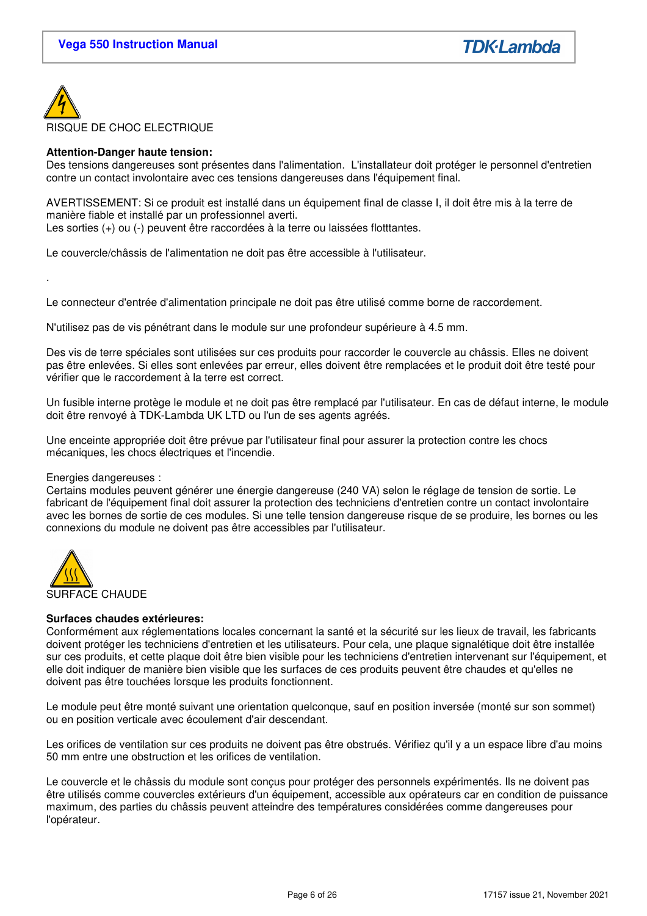

### **Attention-Danger haute tension:**

Des tensions dangereuses sont présentes dans l'alimentation. L'installateur doit protéger le personnel d'entretien contre un contact involontaire avec ces tensions dangereuses dans l'équipement final.

AVERTISSEMENT: Si ce produit est installé dans un équipement final de classe I, il doit être mis à la terre de manière fiable et installé par un professionnel averti.

Les sorties (+) ou (-) peuvent être raccordées à la terre ou laissées flotttantes.

Le couvercle/châssis de l'alimentation ne doit pas être accessible à l'utilisateur.

Le connecteur d'entrée d'alimentation principale ne doit pas être utilisé comme borne de raccordement.

N'utilisez pas de vis pénétrant dans le module sur une profondeur supérieure à 4.5 mm.

Des vis de terre spéciales sont utilisées sur ces produits pour raccorder le couvercle au châssis. Elles ne doivent pas être enlevées. Si elles sont enlevées par erreur, elles doivent être remplacées et le produit doit être testé pour vérifier que le raccordement à la terre est correct.

Un fusible interne protège le module et ne doit pas être remplacé par l'utilisateur. En cas de défaut interne, le module doit être renvoyé à TDK-Lambda UK LTD ou l'un de ses agents agréés.

Une enceinte appropriée doit être prévue par l'utilisateur final pour assurer la protection contre les chocs mécaniques, les chocs électriques et l'incendie.

### Energies dangereuses :

.

Certains modules peuvent générer une énergie dangereuse (240 VA) selon le réglage de tension de sortie. Le fabricant de l'équipement final doit assurer la protection des techniciens d'entretien contre un contact involontaire avec les bornes de sortie de ces modules. Si une telle tension dangereuse risque de se produire, les bornes ou les connexions du module ne doivent pas être accessibles par l'utilisateur.



### **Surfaces chaudes extérieures:**

Conformément aux réglementations locales concernant la santé et la sécurité sur les lieux de travail, les fabricants doivent protéger les techniciens d'entretien et les utilisateurs. Pour cela, une plaque signalétique doit être installée sur ces produits, et cette plaque doit être bien visible pour les techniciens d'entretien intervenant sur l'équipement, et elle doit indiquer de manière bien visible que les surfaces de ces produits peuvent être chaudes et qu'elles ne doivent pas être touchées lorsque les produits fonctionnent.

Le module peut être monté suivant une orientation quelconque, sauf en position inversée (monté sur son sommet) ou en position verticale avec écoulement d'air descendant.

Les orifices de ventilation sur ces produits ne doivent pas être obstrués. Vérifiez qu'il y a un espace libre d'au moins 50 mm entre une obstruction et les orifices de ventilation.

Le couvercle et le châssis du module sont conçus pour protéger des personnels expérimentés. Ils ne doivent pas être utilisés comme couvercles extérieurs d'un équipement, accessible aux opérateurs car en condition de puissance maximum, des parties du châssis peuvent atteindre des températures considérées comme dangereuses pour l'opérateur.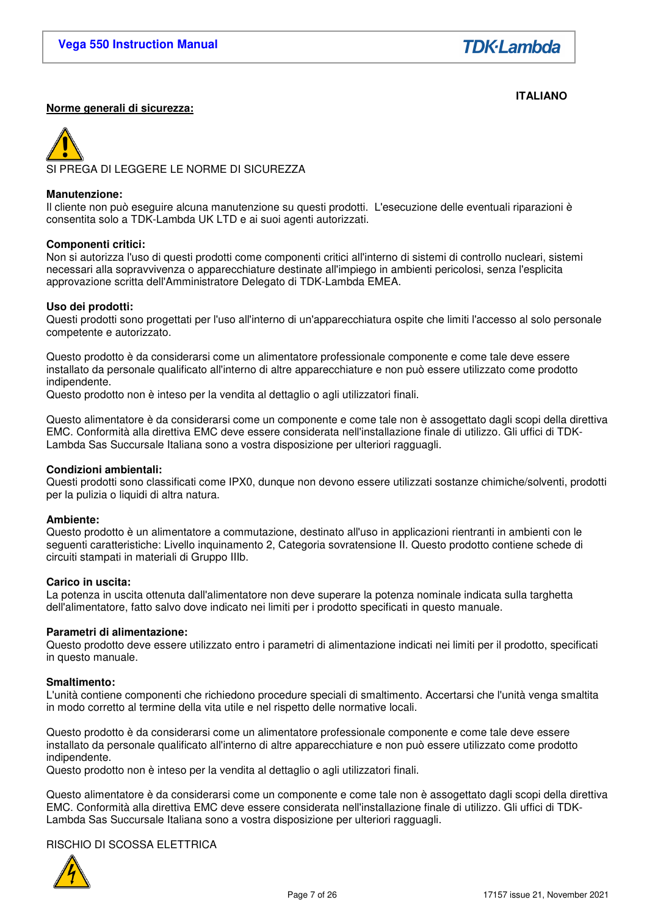**TDK**·Lambda

#### **ITALIANO Norme generali di sicurezza:**

PREGA DI LEGGERE LE NORME DI SICUREZZA

#### **Manutenzione:**

Il cliente non può eseguire alcuna manutenzione su questi prodotti. L'esecuzione delle eventuali riparazioni è consentita solo a TDK-Lambda UK LTD e ai suoi agenti autorizzati.

#### **Componenti critici:**

Non si autorizza l'uso di questi prodotti come componenti critici all'interno di sistemi di controllo nucleari, sistemi necessari alla sopravvivenza o apparecchiature destinate all'impiego in ambienti pericolosi, senza l'esplicita approvazione scritta dell'Amministratore Delegato di TDK-Lambda EMEA.

#### **Uso dei prodotti:**

Questi prodotti sono progettati per l'uso all'interno di un'apparecchiatura ospite che limiti l'accesso al solo personale competente e autorizzato.

Questo prodotto è da considerarsi come un alimentatore professionale componente e come tale deve essere installato da personale qualificato all'interno di altre apparecchiature e non può essere utilizzato come prodotto indipendente.

Questo prodotto non è inteso per la vendita al dettaglio o agli utilizzatori finali.

Questo alimentatore è da considerarsi come un componente e come tale non è assogettato dagli scopi della direttiva EMC. Conformità alla direttiva EMC deve essere considerata nell'installazione finale di utilizzo. Gli uffici di TDK-Lambda Sas Succursale Italiana sono a vostra disposizione per ulteriori ragguagli.

#### **Condizioni ambientali:**

Questi prodotti sono classificati come IPX0, dunque non devono essere utilizzati sostanze chimiche/solventi, prodotti per la pulizia o liquidi di altra natura.

### **Ambiente:**

Questo prodotto è un alimentatore a commutazione, destinato all'uso in applicazioni rientranti in ambienti con le seguenti caratteristiche: Livello inquinamento 2, Categoria sovratensione II. Questo prodotto contiene schede di circuiti stampati in materiali di Gruppo IIIb.

#### **Carico in uscita:**

La potenza in uscita ottenuta dall'alimentatore non deve superare la potenza nominale indicata sulla targhetta dell'alimentatore, fatto salvo dove indicato nei limiti per i prodotto specificati in questo manuale.

#### **Parametri di alimentazione:**

Questo prodotto deve essere utilizzato entro i parametri di alimentazione indicati nei limiti per il prodotto, specificati in questo manuale.

#### **Smaltimento:**

L'unità contiene componenti che richiedono procedure speciali di smaltimento. Accertarsi che l'unità venga smaltita in modo corretto al termine della vita utile e nel rispetto delle normative locali.

Questo prodotto è da considerarsi come un alimentatore professionale componente e come tale deve essere installato da personale qualificato all'interno di altre apparecchiature e non può essere utilizzato come prodotto indipendente.

Questo prodotto non è inteso per la vendita al dettaglio o agli utilizzatori finali.

Questo alimentatore è da considerarsi come un componente e come tale non è assogettato dagli scopi della direttiva EMC. Conformità alla direttiva EMC deve essere considerata nell'installazione finale di utilizzo. Gli uffici di TDK-Lambda Sas Succursale Italiana sono a vostra disposizione per ulteriori ragguagli.

# RISCHIO DI SCOSSA ELETTRICA

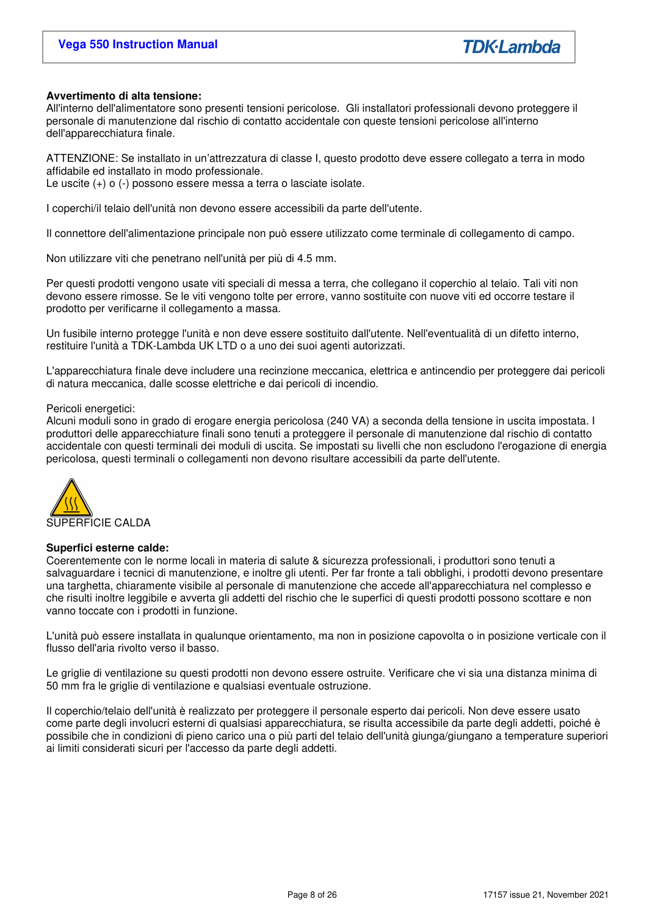### **Avvertimento di alta tensione:**

All'interno dell'alimentatore sono presenti tensioni pericolose. Gli installatori professionali devono proteggere il personale di manutenzione dal rischio di contatto accidentale con queste tensioni pericolose all'interno dell'apparecchiatura finale.

ATTENZIONE: Se installato in un'attrezzatura di classe I, questo prodotto deve essere collegato a terra in modo affidabile ed installato in modo professionale.

Le uscite (+) o (-) possono essere messa a terra o lasciate isolate.

I coperchi/il telaio dell'unità non devono essere accessibili da parte dell'utente.

Il connettore dell'alimentazione principale non può essere utilizzato come terminale di collegamento di campo.

Non utilizzare viti che penetrano nell'unità per più di 4.5 mm.

Per questi prodotti vengono usate viti speciali di messa a terra, che collegano il coperchio al telaio. Tali viti non devono essere rimosse. Se le viti vengono tolte per errore, vanno sostituite con nuove viti ed occorre testare il prodotto per verificarne il collegamento a massa.

Un fusibile interno protegge l'unità e non deve essere sostituito dall'utente. Nell'eventualità di un difetto interno, restituire l'unità a TDK-Lambda UK LTD o a uno dei suoi agenti autorizzati.

L'apparecchiatura finale deve includere una recinzione meccanica, elettrica e antincendio per proteggere dai pericoli di natura meccanica, dalle scosse elettriche e dai pericoli di incendio.

#### Pericoli energetici:

Alcuni moduli sono in grado di erogare energia pericolosa (240 VA) a seconda della tensione in uscita impostata. I produttori delle apparecchiature finali sono tenuti a proteggere il personale di manutenzione dal rischio di contatto accidentale con questi terminali dei moduli di uscita. Se impostati su livelli che non escludono l'erogazione di energia pericolosa, questi terminali o collegamenti non devono risultare accessibili da parte dell'utente.



#### **Superfici esterne calde:**

Coerentemente con le norme locali in materia di salute & sicurezza professionali, i produttori sono tenuti a salvaguardare i tecnici di manutenzione, e inoltre gli utenti. Per far fronte a tali obblighi, i prodotti devono presentare una targhetta, chiaramente visibile al personale di manutenzione che accede all'apparecchiatura nel complesso e che risulti inoltre leggibile e avverta gli addetti del rischio che le superfici di questi prodotti possono scottare e non vanno toccate con i prodotti in funzione.

L'unità può essere installata in qualunque orientamento, ma non in posizione capovolta o in posizione verticale con il flusso dell'aria rivolto verso il basso.

Le griglie di ventilazione su questi prodotti non devono essere ostruite. Verificare che vi sia una distanza minima di 50 mm fra le griglie di ventilazione e qualsiasi eventuale ostruzione.

Il coperchio/telaio dell'unità è realizzato per proteggere il personale esperto dai pericoli. Non deve essere usato come parte degli involucri esterni di qualsiasi apparecchiatura, se risulta accessibile da parte degli addetti, poiché è possibile che in condizioni di pieno carico una o più parti del telaio dell'unità giunga/giungano a temperature superiori ai limiti considerati sicuri per l'accesso da parte degli addetti.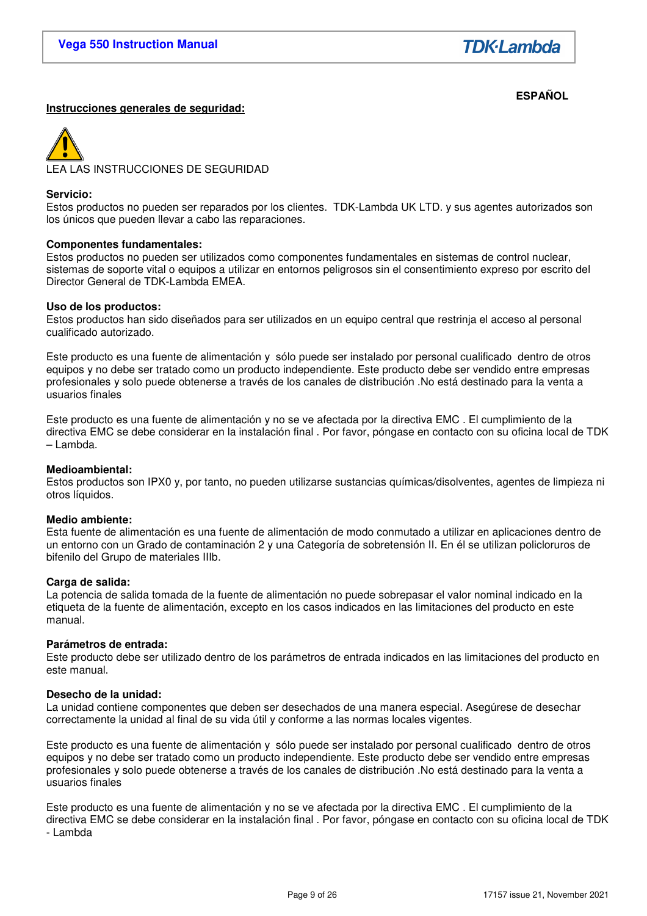**TDK**·Lambda

#### **ESPAÑOL Instrucciones generales de seguridad:**

A LAS INSTRUCCIONES DE SEGURIDAD

#### **Servicio:**

Estos productos no pueden ser reparados por los clientes. TDK-Lambda UK LTD. y sus agentes autorizados son los únicos que pueden llevar a cabo las reparaciones.

#### **Componentes fundamentales:**

Estos productos no pueden ser utilizados como componentes fundamentales en sistemas de control nuclear, sistemas de soporte vital o equipos a utilizar en entornos peligrosos sin el consentimiento expreso por escrito del Director General de TDK-Lambda EMEA.

#### **Uso de los productos:**

Estos productos han sido diseñados para ser utilizados en un equipo central que restrinja el acceso al personal cualificado autorizado.

Este producto es una fuente de alimentación y sólo puede ser instalado por personal cualificado dentro de otros equipos y no debe ser tratado como un producto independiente. Este producto debe ser vendido entre empresas profesionales y solo puede obtenerse a través de los canales de distribución .No está destinado para la venta a usuarios finales

Este producto es una fuente de alimentación y no se ve afectada por la directiva EMC . El cumplimiento de la directiva EMC se debe considerar en la instalación final . Por favor, póngase en contacto con su oficina local de TDK – Lambda.

### **Medioambiental:**

Estos productos son IPX0 y, por tanto, no pueden utilizarse sustancias químicas/disolventes, agentes de limpieza ni otros líquidos.

### **Medio ambiente:**

Esta fuente de alimentación es una fuente de alimentación de modo conmutado a utilizar en aplicaciones dentro de un entorno con un Grado de contaminación 2 y una Categoría de sobretensión II. En él se utilizan policloruros de bifenilo del Grupo de materiales IIIb.

#### **Carga de salida:**

La potencia de salida tomada de la fuente de alimentación no puede sobrepasar el valor nominal indicado en la etiqueta de la fuente de alimentación, excepto en los casos indicados en las limitaciones del producto en este manual.

#### **Parámetros de entrada:**

Este producto debe ser utilizado dentro de los parámetros de entrada indicados en las limitaciones del producto en este manual.

### **Desecho de la unidad:**

La unidad contiene componentes que deben ser desechados de una manera especial. Asegúrese de desechar correctamente la unidad al final de su vida útil y conforme a las normas locales vigentes.

Este producto es una fuente de alimentación y sólo puede ser instalado por personal cualificado dentro de otros equipos y no debe ser tratado como un producto independiente. Este producto debe ser vendido entre empresas profesionales y solo puede obtenerse a través de los canales de distribución .No está destinado para la venta a usuarios finales

Este producto es una fuente de alimentación y no se ve afectada por la directiva EMC . El cumplimiento de la directiva EMC se debe considerar en la instalación final . Por favor, póngase en contacto con su oficina local de TDK - Lambda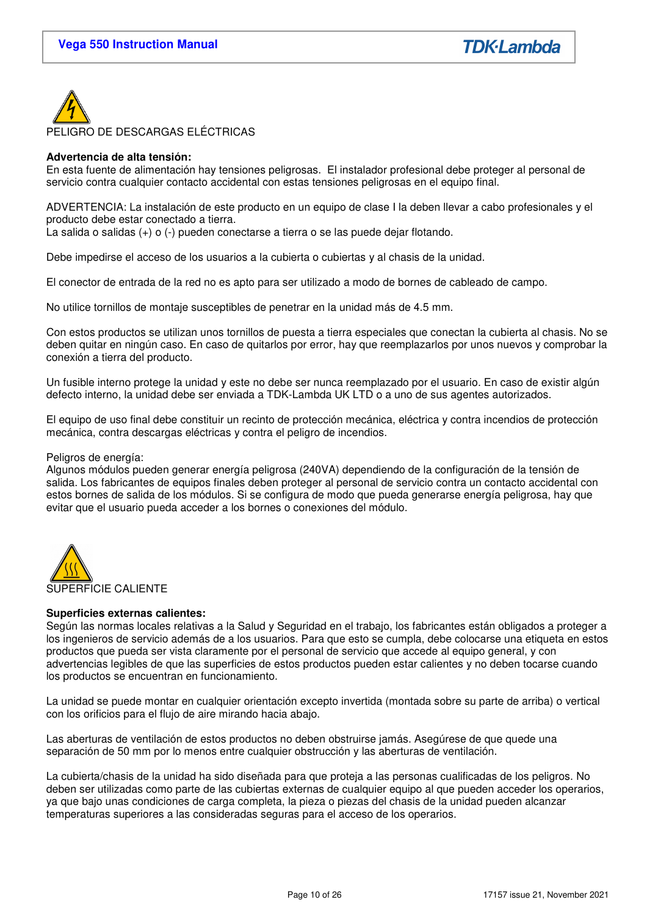

### **Advertencia de alta tensión:**

En esta fuente de alimentación hay tensiones peligrosas. El instalador profesional debe proteger al personal de servicio contra cualquier contacto accidental con estas tensiones peligrosas en el equipo final.

ADVERTENCIA: La instalación de este producto en un equipo de clase I la deben llevar a cabo profesionales y el producto debe estar conectado a tierra.

La salida o salidas (+) o (-) pueden conectarse a tierra o se las puede dejar flotando.

Debe impedirse el acceso de los usuarios a la cubierta o cubiertas y al chasis de la unidad.

El conector de entrada de la red no es apto para ser utilizado a modo de bornes de cableado de campo.

No utilice tornillos de montaje susceptibles de penetrar en la unidad más de 4.5 mm.

Con estos productos se utilizan unos tornillos de puesta a tierra especiales que conectan la cubierta al chasis. No se deben quitar en ningún caso. En caso de quitarlos por error, hay que reemplazarlos por unos nuevos y comprobar la conexión a tierra del producto.

Un fusible interno protege la unidad y este no debe ser nunca reemplazado por el usuario. En caso de existir algún defecto interno, la unidad debe ser enviada a TDK-Lambda UK LTD o a uno de sus agentes autorizados.

El equipo de uso final debe constituir un recinto de protección mecánica, eléctrica y contra incendios de protección mecánica, contra descargas eléctricas y contra el peligro de incendios.

#### Peligros de energía:

Algunos módulos pueden generar energía peligrosa (240VA) dependiendo de la configuración de la tensión de salida. Los fabricantes de equipos finales deben proteger al personal de servicio contra un contacto accidental con estos bornes de salida de los módulos. Si se configura de modo que pueda generarse energía peligrosa, hay que evitar que el usuario pueda acceder a los bornes o conexiones del módulo.



### **Superficies externas calientes:**

Según las normas locales relativas a la Salud y Seguridad en el trabajo, los fabricantes están obligados a proteger a los ingenieros de servicio además de a los usuarios. Para que esto se cumpla, debe colocarse una etiqueta en estos productos que pueda ser vista claramente por el personal de servicio que accede al equipo general, y con advertencias legibles de que las superficies de estos productos pueden estar calientes y no deben tocarse cuando los productos se encuentran en funcionamiento.

La unidad se puede montar en cualquier orientación excepto invertida (montada sobre su parte de arriba) o vertical con los orificios para el flujo de aire mirando hacia abajo.

Las aberturas de ventilación de estos productos no deben obstruirse jamás. Asegúrese de que quede una separación de 50 mm por lo menos entre cualquier obstrucción y las aberturas de ventilación.

La cubierta/chasis de la unidad ha sido diseñada para que proteja a las personas cualificadas de los peligros. No deben ser utilizadas como parte de las cubiertas externas de cualquier equipo al que pueden acceder los operarios, ya que bajo unas condiciones de carga completa, la pieza o piezas del chasis de la unidad pueden alcanzar temperaturas superiores a las consideradas seguras para el acceso de los operarios.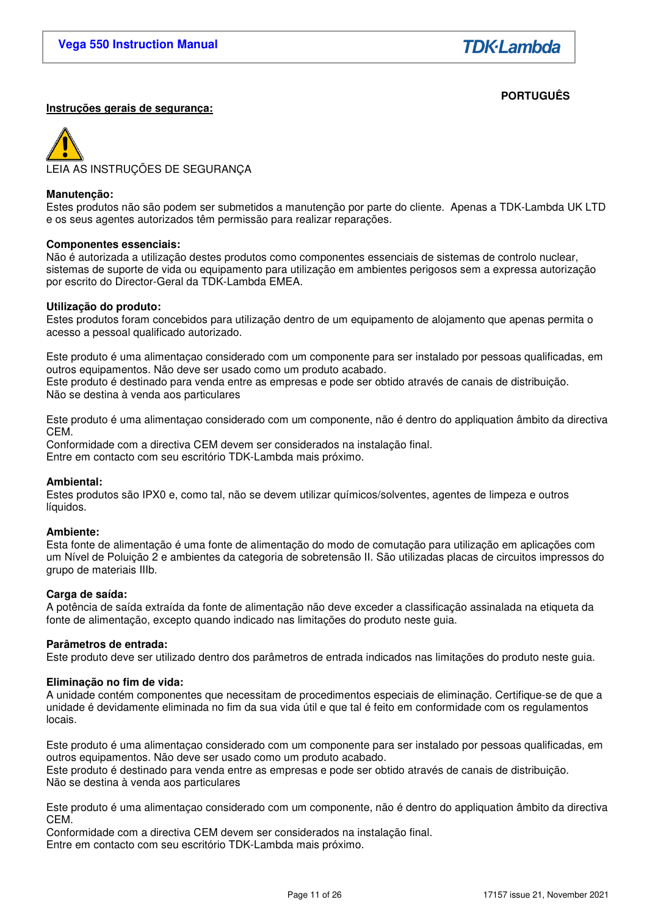# **PORTUGUÊS**

### **Instruções gerais de segurança:**

LEIA AS INSTRUÇÕES DE SEGURANÇA

#### **Manutenção:**

Estes produtos não são podem ser submetidos a manutenção por parte do cliente. Apenas a TDK-Lambda UK LTD e os seus agentes autorizados têm permissão para realizar reparações.

#### **Componentes essenciais:**

Não é autorizada a utilização destes produtos como componentes essenciais de sistemas de controlo nuclear, sistemas de suporte de vida ou equipamento para utilização em ambientes perigosos sem a expressa autorização por escrito do Director-Geral da TDK-Lambda EMEA.

#### **Utilização do produto:**

Estes produtos foram concebidos para utilização dentro de um equipamento de alojamento que apenas permita o acesso a pessoal qualificado autorizado.

Este produto é uma alimentaçao considerado com um componente para ser instalado por pessoas qualificadas, em outros equipamentos. Não deve ser usado como um produto acabado. Este produto é destinado para venda entre as empresas e pode ser obtido através de canais de distribuição. Não se destina à venda aos particulares

Este produto é uma alimentaçao considerado com um componente, não é dentro do appliquation âmbito da directiva CEM.

Conformidade com a directiva CEM devem ser considerados na instalação final. Entre em contacto com seu escritório TDK-Lambda mais próximo.

### **Ambiental:**

Estes produtos são IPX0 e, como tal, não se devem utilizar químicos/solventes, agentes de limpeza e outros líquidos.

#### **Ambiente:**

Esta fonte de alimentação é uma fonte de alimentação do modo de comutação para utilização em aplicações com um Nível de Poluição 2 e ambientes da categoria de sobretensão II. São utilizadas placas de circuitos impressos do grupo de materiais IIIb.

### **Carga de saída:**

A potência de saída extraída da fonte de alimentação não deve exceder a classificação assinalada na etiqueta da fonte de alimentação, excepto quando indicado nas limitações do produto neste guia.

#### **Parâmetros de entrada:**

Este produto deve ser utilizado dentro dos parâmetros de entrada indicados nas limitações do produto neste guia.

#### **Eliminação no fim de vida:**

A unidade contém componentes que necessitam de procedimentos especiais de eliminação. Certifique-se de que a unidade é devidamente eliminada no fim da sua vida útil e que tal é feito em conformidade com os regulamentos locais.

Este produto é uma alimentaçao considerado com um componente para ser instalado por pessoas qualificadas, em outros equipamentos. Não deve ser usado como um produto acabado.

Este produto é destinado para venda entre as empresas e pode ser obtido através de canais de distribuição. Não se destina à venda aos particulares

Este produto é uma alimentaçao considerado com um componente, não é dentro do appliquation âmbito da directiva CEM.

Conformidade com a directiva CEM devem ser considerados na instalação final. Entre em contacto com seu escritório TDK-Lambda mais próximo.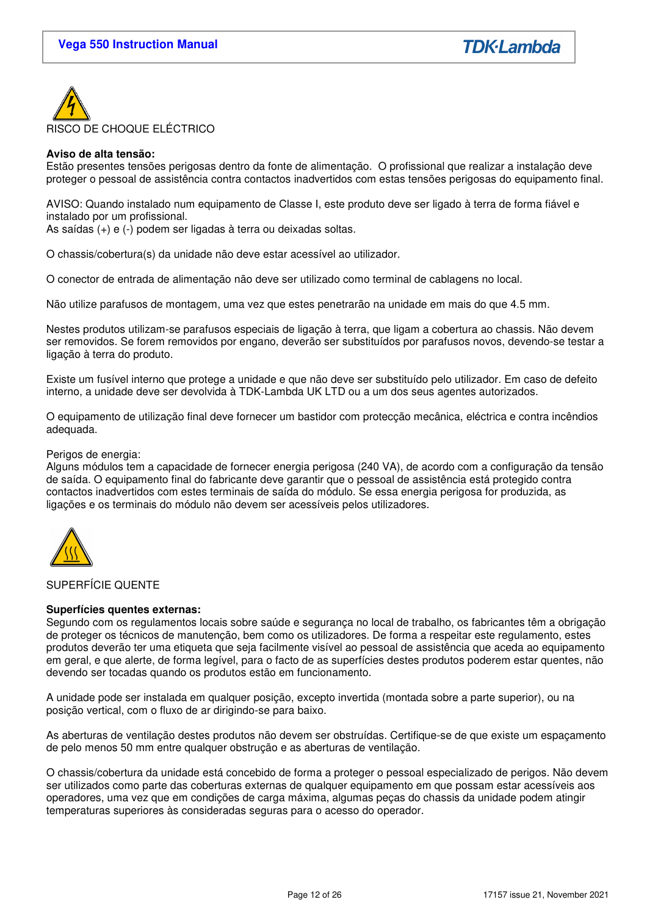

### **Aviso de alta tensão:**

Estão presentes tensões perigosas dentro da fonte de alimentação. O profissional que realizar a instalação deve proteger o pessoal de assistência contra contactos inadvertidos com estas tensões perigosas do equipamento final.

AVISO: Quando instalado num equipamento de Classe I, este produto deve ser ligado à terra de forma fiável e instalado por um profissional.

As saídas (+) e (-) podem ser ligadas à terra ou deixadas soltas.

O chassis/cobertura(s) da unidade não deve estar acessível ao utilizador.

O conector de entrada de alimentação não deve ser utilizado como terminal de cablagens no local.

Não utilize parafusos de montagem, uma vez que estes penetrarão na unidade em mais do que 4.5 mm.

Nestes produtos utilizam-se parafusos especiais de ligação à terra, que ligam a cobertura ao chassis. Não devem ser removidos. Se forem removidos por engano, deverão ser substituídos por parafusos novos, devendo-se testar a ligação à terra do produto.

Existe um fusível interno que protege a unidade e que não deve ser substituído pelo utilizador. Em caso de defeito interno, a unidade deve ser devolvida à TDK-Lambda UK LTD ou a um dos seus agentes autorizados.

O equipamento de utilização final deve fornecer um bastidor com protecção mecânica, eléctrica e contra incêndios adequada.

#### Perigos de energia:

Alguns módulos tem a capacidade de fornecer energia perigosa (240 VA), de acordo com a configuração da tensão de saída. O equipamento final do fabricante deve garantir que o pessoal de assistência está protegido contra contactos inadvertidos com estes terminais de saída do módulo. Se essa energia perigosa for produzida, as ligações e os terminais do módulo não devem ser acessíveis pelos utilizadores.



### SUPERFÍCIE QUENTE

### **Superfícies quentes externas:**

Segundo com os regulamentos locais sobre saúde e segurança no local de trabalho, os fabricantes têm a obrigação de proteger os técnicos de manutenção, bem como os utilizadores. De forma a respeitar este regulamento, estes produtos deverão ter uma etiqueta que seja facilmente visível ao pessoal de assistência que aceda ao equipamento em geral, e que alerte, de forma legível, para o facto de as superfícies destes produtos poderem estar quentes, não devendo ser tocadas quando os produtos estão em funcionamento.

A unidade pode ser instalada em qualquer posição, excepto invertida (montada sobre a parte superior), ou na posição vertical, com o fluxo de ar dirigindo-se para baixo.

As aberturas de ventilação destes produtos não devem ser obstruídas. Certifique-se de que existe um espaçamento de pelo menos 50 mm entre qualquer obstrução e as aberturas de ventilação.

O chassis/cobertura da unidade está concebido de forma a proteger o pessoal especializado de perigos. Não devem ser utilizados como parte das coberturas externas de qualquer equipamento em que possam estar acessíveis aos operadores, uma vez que em condições de carga máxima, algumas peças do chassis da unidade podem atingir temperaturas superiores às consideradas seguras para o acesso do operador.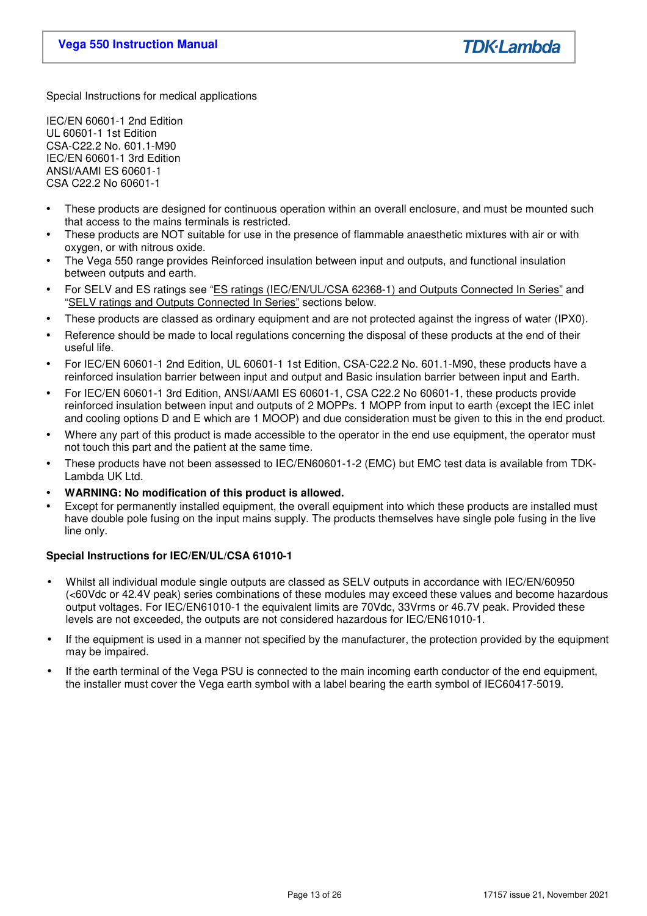Special Instructions for medical applications

IEC/EN 60601-1 2nd Edition UL 60601-1 1st Edition CSA-C22.2 No. 601.1-M90 IEC/EN 60601-1 3rd Edition ANSI/AAMI ES 60601-1 CSA C22.2 No 60601-1

- These products are designed for continuous operation within an overall enclosure, and must be mounted such that access to the mains terminals is restricted.
- These products are NOT suitable for use in the presence of flammable anaesthetic mixtures with air or with oxygen, or with nitrous oxide.
- The Vega 550 range provides Reinforced insulation between input and outputs, and functional insulation between outputs and earth.
- For SELV and ES ratings see "ES ratings (IEC/EN/UL/CSA 62368-1) and Outputs Connected In Series" and "SELV ratings and Outputs Connected In Series" sections below.
- These products are classed as ordinary equipment and are not protected against the ingress of water (IPX0).
- Reference should be made to local regulations concerning the disposal of these products at the end of their useful life.
- For IEC/EN 60601-1 2nd Edition, UL 60601-1 1st Edition, CSA-C22.2 No. 601.1-M90, these products have a reinforced insulation barrier between input and output and Basic insulation barrier between input and Earth.
- For IEC/EN 60601-1 3rd Edition, ANSI/AAMI ES 60601-1, CSA C22.2 No 60601-1, these products provide reinforced insulation between input and outputs of 2 MOPPs. 1 MOPP from input to earth (except the IEC inlet and cooling options D and E which are 1 MOOP) and due consideration must be given to this in the end product.
- Where any part of this product is made accessible to the operator in the end use equipment, the operator must not touch this part and the patient at the same time.
- These products have not been assessed to IEC/EN60601-1-2 (EMC) but EMC test data is available from TDK-Lambda UK Ltd.
- **WARNING: No modification of this product is allowed.**
- Except for permanently installed equipment, the overall equipment into which these products are installed must have double pole fusing on the input mains supply. The products themselves have single pole fusing in the live line only.

# **Special Instructions for IEC/EN/UL/CSA 61010-1**

- Whilst all individual module single outputs are classed as SELV outputs in accordance with IEC/EN/60950 (<60Vdc or 42.4V peak) series combinations of these modules may exceed these values and become hazardous output voltages. For IEC/EN61010-1 the equivalent limits are 70Vdc, 33Vrms or 46.7V peak. Provided these levels are not exceeded, the outputs are not considered hazardous for IEC/EN61010-1.
- If the equipment is used in a manner not specified by the manufacturer, the protection provided by the equipment may be impaired.
- If the earth terminal of the Vega PSU is connected to the main incoming earth conductor of the end equipment, the installer must cover the Vega earth symbol with a label bearing the earth symbol of IEC60417-5019.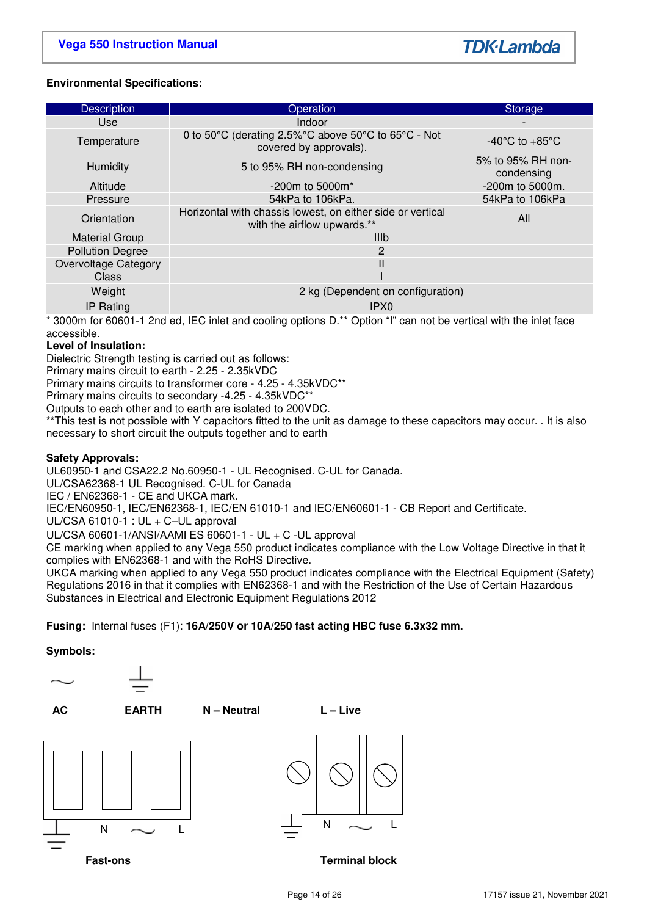# **Environmental Specifications:**

| <b>Description</b>      | Operation                                                                                 | Storage                            |  |  |  |  |
|-------------------------|-------------------------------------------------------------------------------------------|------------------------------------|--|--|--|--|
| <b>Use</b>              | Indoor                                                                                    |                                    |  |  |  |  |
| Temperature             | 0 to 50°C (derating 2.5%°C above 50°C to 65°C - Not<br>covered by approvals).             | $-40^{\circ}$ C to $+85^{\circ}$ C |  |  |  |  |
| Humidity                | 5 to 95% RH non-condensing                                                                | 5% to 95% RH non-<br>condensing    |  |  |  |  |
| Altitude                | $-200m$ to 5000 $m^*$                                                                     | -200m to 5000m.                    |  |  |  |  |
| Pressure                | 54kPa to 106kPa.                                                                          | 54kPa to 106kPa                    |  |  |  |  |
| Orientation             | Horizontal with chassis lowest, on either side or vertical<br>with the airflow upwards.** | All                                |  |  |  |  |
| <b>Material Group</b>   | <b>IIIb</b>                                                                               |                                    |  |  |  |  |
| <b>Pollution Degree</b> | $\overline{2}$                                                                            |                                    |  |  |  |  |
| Overvoltage Category    |                                                                                           |                                    |  |  |  |  |
| Class                   |                                                                                           |                                    |  |  |  |  |
| Weight                  | 2 kg (Dependent on configuration)                                                         |                                    |  |  |  |  |
| IP Rating               | IPX <sub>0</sub>                                                                          |                                    |  |  |  |  |

\* 3000m for 60601-1 2nd ed, IEC inlet and cooling options D.\*\* Option "I" can not be vertical with the inlet face accessible.

### **Level of Insulation:**

Dielectric Strength testing is carried out as follows:

Primary mains circuit to earth - 2.25 - 2.35kVDC

Primary mains circuits to transformer core - 4.25 - 4.35kVDC\*\*

Primary mains circuits to secondary -4.25 - 4.35kVDC\*\*

Outputs to each other and to earth are isolated to 200VDC.

\*\*This test is not possible with Y capacitors fitted to the unit as damage to these capacitors may occur. . It is also necessary to short circuit the outputs together and to earth

### **Safety Approvals:**

UL60950-1 and CSA22.2 No.60950-1 - UL Recognised. C-UL for Canada.

UL/CSA62368-1 UL Recognised. C-UL for Canada

IEC / EN62368-1 - CE and UKCA mark.

IEC/EN60950-1, IEC/EN62368-1, IEC/EN 61010-1 and IEC/EN60601-1 - CB Report and Certificate.

UL/CSA 61010-1 : UL + C–UL approval

UL/CSA 60601-1/ANSI/AAMI ES 60601-1 - UL + C -UL approval

CE marking when applied to any Vega 550 product indicates compliance with the Low Voltage Directive in that it complies with EN62368-1 and with the RoHS Directive.

UKCA marking when applied to any Vega 550 product indicates compliance with the Electrical Equipment (Safety) Regulations 2016 in that it complies with EN62368-1 and with the Restriction of the Use of Certain Hazardous Substances in Electrical and Electronic Equipment Regulations 2012

### **Fusing:** Internal fuses (F1): **16A/250V or 10A/250 fast acting HBC fuse 6.3x32 mm.**

**Symbols:** 



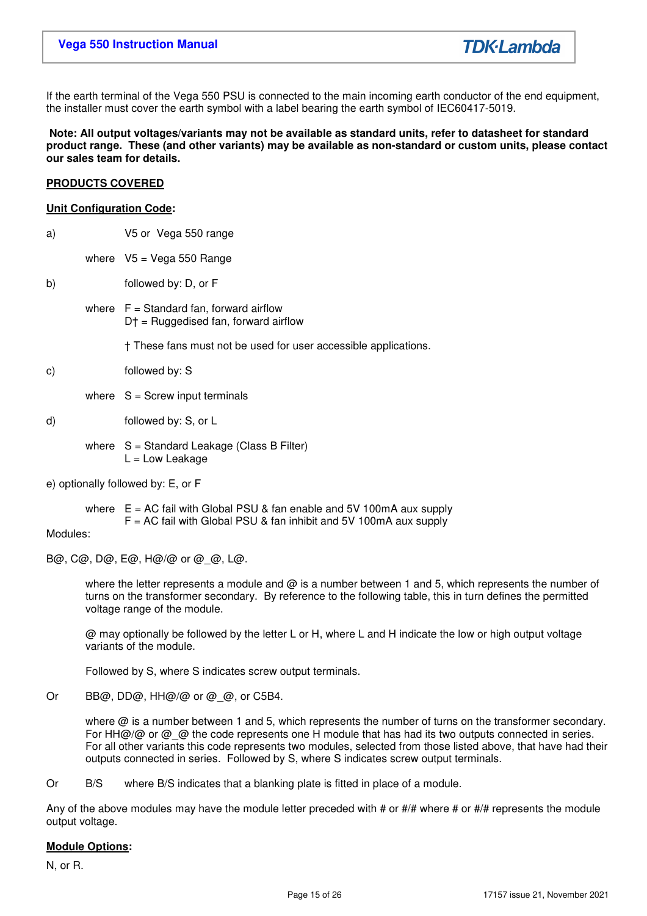If the earth terminal of the Vega 550 PSU is connected to the main incoming earth conductor of the end equipment, the installer must cover the earth symbol with a label bearing the earth symbol of IEC60417-5019.

 **Note: All output voltages/variants may not be available as standard units, refer to datasheet for standard product range. These (and other variants) may be available as non-standard or custom units, please contact our sales team for details.** 

### **PRODUCTS COVERED**

### **Unit Configuration Code:**

- a) V5 or Vega 550 range where  $V5 = Vega 550 Range$
- b) followed by: D, or F
	- where  $F =$  Standard fan, forward airflow D† = Ruggedised fan, forward airflow

† These fans must not be used for user accessible applications.

- c) followed by: S
	- where  $S =$  Screw input terminals
- d) followed by: S, or L
	- where  $S =$  Standard Leakage (Class B Filter)  $L = Low$  Leakage
- e) optionally followed by: E, or F

where  $E = AC$  fail with Global PSU & fan enable and 5V 100mA aux supply

# $F = AC$  fail with Global PSU & fan inhibit and 5V 100mA aux supply

### Modules:

B@, C@, D@, E@, H@/@ or @\_@, L@.

where the letter represents a module and  $\omega$  is a number between 1 and 5, which represents the number of turns on the transformer secondary. By reference to the following table, this in turn defines the permitted voltage range of the module.

 @ may optionally be followed by the letter L or H, where L and H indicate the low or high output voltage variants of the module.

Followed by S, where S indicates screw output terminals.

Or BB@, DD@, HH@/@ or @\_@, or C5B4.

where @ is a number between 1 and 5, which represents the number of turns on the transformer secondary. For HH@/@ or @ @ the code represents one H module that has had its two outputs connected in series. For all other variants this code represents two modules, selected from those listed above, that have had their outputs connected in series. Followed by S, where S indicates screw output terminals.

Or B/S where B/S indicates that a blanking plate is fitted in place of a module.

Any of the above modules may have the module letter preceded with # or  $\#/\#$  where # or  $\#/\#$  represents the module output voltage.

# **Module Options:**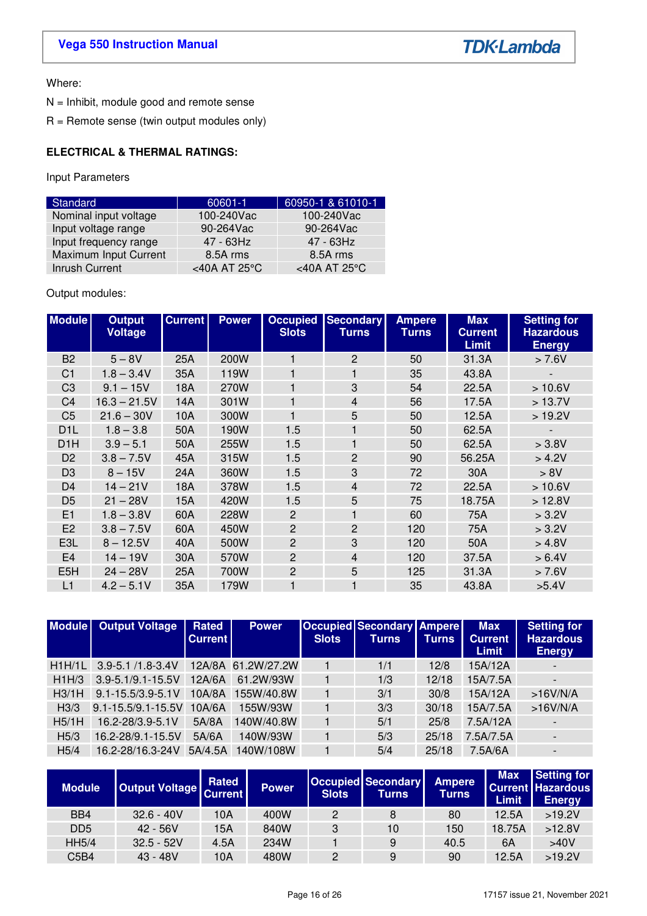# **Vega 550 Instruction Manual**

**TDK-Lambda** 

Where:

N = Inhibit, module good and remote sense

R = Remote sense (twin output modules only)

# **ELECTRICAL & THERMAL RATINGS:**

Input Parameters

| Standard              | 60601-1                 | 60950-1 & 61010-1       |
|-----------------------|-------------------------|-------------------------|
| Nominal input voltage | 100-240Vac              | 100-240Vac              |
| Input voltage range   | 90-264Vac               | 90-264Vac               |
| Input frequency range | $47 - 63$ Hz            | 47 - 63Hz               |
| Maximum Input Current | 8.5A rms                | 8.5A rms                |
| Inrush Current        | <40A AT 25 $^{\circ}$ C | <40A AT 25 $^{\circ}$ C |

# Output modules:

| <b>Module</b>    | <b>Output</b><br><b>Voltage</b> | <b>Current</b> | <b>Power</b> | <b>Slots</b>   | <b>Occupied Secondary</b><br><b>Turns</b> | <b>Ampere</b><br><b>Turns</b> | <b>Max</b><br><b>Current</b><br><b>Limit</b> | <b>Setting for</b><br><b>Hazardous</b><br><b>Energy</b> |
|------------------|---------------------------------|----------------|--------------|----------------|-------------------------------------------|-------------------------------|----------------------------------------------|---------------------------------------------------------|
| B <sub>2</sub>   | $5 - 8V$                        | 25A            | 200W         | 1              | $\overline{2}$                            | 50                            | 31.3A                                        | > 7.6V                                                  |
| C <sub>1</sub>   | $1.8 - 3.4V$                    | 35A            | 119W         | 1              | 1                                         | 35                            | 43.8A                                        |                                                         |
| C <sub>3</sub>   | $9.1 - 15V$                     | 18A            | 270W         | 1              | 3                                         | 54                            | 22.5A                                        | >10.6V                                                  |
| C <sub>4</sub>   | $16.3 - 21.5V$                  | 14A            | 301W         | 1              | $\overline{4}$                            | 56                            | 17.5A                                        | >13.7V                                                  |
| C <sub>5</sub>   | $21.6 - 30V$                    | 10A            | 300W         | 1              | 5                                         | 50                            | 12.5A                                        | >19.2V                                                  |
| D <sub>1</sub> L | $1.8 - 3.8$                     | 50A            | 190W         | 1.5            | 1                                         | 50                            | 62.5A                                        |                                                         |
| D <sub>1</sub> H | $3.9 - 5.1$                     | 50A            | 255W         | 1.5            | 1                                         | 50                            | 62.5A                                        | > 3.8V                                                  |
| D <sub>2</sub>   | $3.8 - 7.5V$                    | 45A            | 315W         | 1.5            | $\overline{c}$                            | 90                            | 56.25A                                       | > 4.2V                                                  |
| D <sub>3</sub>   | $8 - 15V$                       | 24A            | 360W         | 1.5            | 3                                         | 72                            | 30A                                          | > 8V                                                    |
| D <sub>4</sub>   | $14 - 21V$                      | 18A            | 378W         | 1.5            | 4                                         | 72                            | 22.5A                                        | >10.6V                                                  |
| D <sub>5</sub>   | $21 - 28V$                      | 15A            | 420W         | 1.5            | 5                                         | 75                            | 18.75A                                       | >12.8V                                                  |
| E1               | $1.8 - 3.8V$                    | 60A            | 228W         | 2              | 1                                         | 60                            | 75A                                          | > 3.2V                                                  |
| E <sub>2</sub>   | $3.8 - 7.5V$                    | 60A            | 450W         | $\overline{2}$ | $\overline{c}$                            | 120                           | 75A                                          | > 3.2V                                                  |
| E3L              | $8 - 12.5V$                     | 40A            | 500W         | $\overline{2}$ | 3                                         | 120                           | 50A                                          | > 4.8V                                                  |
| E <sub>4</sub>   | $14 - 19V$                      | 30A            | 570W         | $\overline{2}$ | 4                                         | 120                           | 37.5A                                        | > 6.4V                                                  |
| E <sub>5</sub> H | $24 - 28V$                      | 25A            | 700W         | $\overline{c}$ | 5                                         | 125                           | 31.3A                                        | > 7.6V                                                  |
| L1               | $4.2 - 5.1V$                    | 35A            | 179W         |                |                                           | 35                            | 43.8A                                        | >5.4V                                                   |

|                  | Module   Output Voltage   | Rated<br><b>Current</b> | <b>Power</b>       | <b>Slots</b> | <b>Occupied Secondary Ampere</b><br>Turns | <b>Turns</b> | <b>Max</b><br><b>Current</b><br><b>Limit</b> | <b>Setting for</b><br><b>Hazardous</b><br><b>Energy</b> |
|------------------|---------------------------|-------------------------|--------------------|--------------|-------------------------------------------|--------------|----------------------------------------------|---------------------------------------------------------|
| H1H/1L           | $3.9 - 5.1 / 1.8 - 3.4 V$ |                         | 12A/8A 61.2W/27.2W |              | 1/1                                       | 12/8         | 15A/12A                                      |                                                         |
| H1H/3            | 3.9-5.1/9.1-15.5V         | 12A/6A                  | 61.2W/93W          |              | 1/3                                       | 12/18        | 15A/7.5A                                     |                                                         |
| H3/1H            | $9.1 - 15.5/3.9 - 5.1V$   | 10A/8A                  | 155W/40.8W         |              | 3/1                                       | 30/8         | 15A/12A                                      | $>16V/N/A$                                              |
| H <sub>3/3</sub> | 9.1-15.5/9.1-15.5V        | 10A/6A                  | 155W/93W           |              | 3/3                                       | 30/18        | 15A/7.5A                                     | >16V/N/A                                                |
| H5/1H            | 16.2-28/3.9-5.1V          | 5A/8A                   | 140W/40.8W         |              | 5/1                                       | 25/8         | 7.5A/12A                                     |                                                         |
| H5/3             | 16.2-28/9.1-15.5V         | 5A/6A                   | 140W/93W           |              | 5/3                                       | 25/18        | 7.5A/7.5A                                    |                                                         |
| H5/4             | 16.2-28/16.3-24V          | 5A/4.5A                 | 140W/108W          |              | 5/4                                       | 25/18        | 7.5A/6A                                      |                                                         |

| <b>Module</b>                 | Output Voltage Current | Rated | <b>Power</b> | <b>Slots</b> | <b>Occupied Secondary</b><br>Turns | <b>Ampere</b><br>Turns | <b>Max</b><br>Limit. | Setting for<br><b>Current Hazardous</b><br>Energy |
|-------------------------------|------------------------|-------|--------------|--------------|------------------------------------|------------------------|----------------------|---------------------------------------------------|
| BB4                           | $32.6 - 40V$           | 10A   | 400W         | 2            | 8                                  | 80                     | 12.5A                | >19.2V                                            |
| D <sub>D</sub> <sub>5</sub>   | $42 - 56V$             | 15A   | 840W         | 3            | 10                                 | 150                    | 18.75A               | >12.8V                                            |
| <b>HH5/4</b>                  | $32.5 - 52V$           | 4.5A  | 234W         |              | 9                                  | 40.5                   | 6A                   | >40V                                              |
| C <sub>5</sub> B <sub>4</sub> | $43 - 48V$             | 10A   | 480W         |              | 9                                  | 90                     | 12.5A                | >19.2V                                            |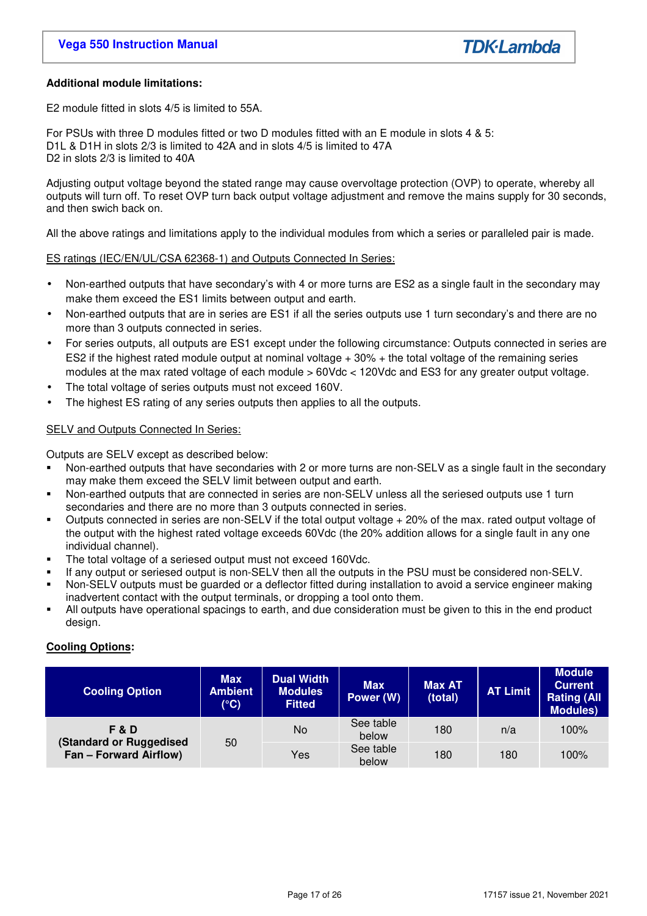# **Additional module limitations:**

E2 module fitted in slots 4/5 is limited to 55A.

For PSUs with three D modules fitted or two D modules fitted with an E module in slots 4 & 5: D1L & D1H in slots 2/3 is limited to 42A and in slots 4/5 is limited to 47A D<sub>2</sub> in slots  $2/3$  is limited to 40A

Adjusting output voltage beyond the stated range may cause overvoltage protection (OVP) to operate, whereby all outputs will turn off. To reset OVP turn back output voltage adjustment and remove the mains supply for 30 seconds, and then swich back on.

All the above ratings and limitations apply to the individual modules from which a series or paralleled pair is made.

### ES ratings (IEC/EN/UL/CSA 62368-1) and Outputs Connected In Series:

- Non-earthed outputs that have secondary's with 4 or more turns are ES2 as a single fault in the secondary may make them exceed the ES1 limits between output and earth.
- Non-earthed outputs that are in series are ES1 if all the series outputs use 1 turn secondary's and there are no more than 3 outputs connected in series.
- For series outputs, all outputs are ES1 except under the following circumstance: Outputs connected in series are ES2 if the highest rated module output at nominal voltage + 30% + the total voltage of the remaining series modules at the max rated voltage of each module > 60Vdc < 120Vdc and ES3 for any greater output voltage.
- The total voltage of series outputs must not exceed 160V.
- The highest ES rating of any series outputs then applies to all the outputs.

### SELV and Outputs Connected In Series:

Outputs are SELV except as described below:

- Non-earthed outputs that have secondaries with 2 or more turns are non-SELV as a single fault in the secondary may make them exceed the SELV limit between output and earth.
- Non-earthed outputs that are connected in series are non-SELV unless all the seriesed outputs use 1 turn secondaries and there are no more than 3 outputs connected in series.
- Outputs connected in series are non-SELV if the total output voltage + 20% of the max. rated output voltage of the output with the highest rated voltage exceeds 60Vdc (the 20% addition allows for a single fault in any one individual channel).
- The total voltage of a seriesed output must not exceed 160Vdc.
- If any output or seriesed output is non-SELV then all the outputs in the PSU must be considered non-SELV.
- Non-SELV outputs must be guarded or a deflector fitted during installation to avoid a service engineer making inadvertent contact with the output terminals, or dropping a tool onto them.
- All outputs have operational spacings to earth, and due consideration must be given to this in the end product design.

# **Cooling Options:**

| <b>Cooling Option</b>                                           | <b>Max</b><br><b>Ambient</b><br>$(^{\circ}C)$ | <b>Dual Width</b><br><b>Modules</b><br><b>Fitted</b> | <b>Max</b><br>Power (W) | <b>Max AT</b><br>(total) | <b>AT Limit</b> | <b>Module</b><br><b>Current</b><br><b>Rating (All</b><br><b>Modules)</b> |
|-----------------------------------------------------------------|-----------------------------------------------|------------------------------------------------------|-------------------------|--------------------------|-----------------|--------------------------------------------------------------------------|
| F&D<br>(Standard or Ruggedised<br><b>Fan - Forward Airflow)</b> | 50                                            | No                                                   | See table<br>below      | 180                      | n/a             | 100%                                                                     |
|                                                                 |                                               | Yes                                                  | See table<br>below      | 180                      | 180             | 100%                                                                     |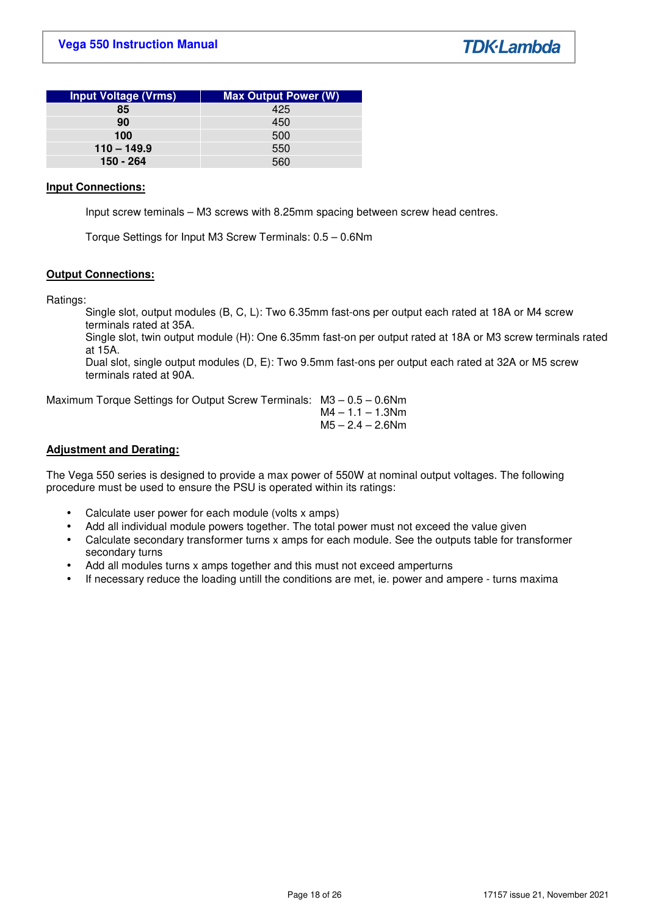| <b>Input Voltage (Vrms)</b> | <b>Max Output Power (W)</b> |
|-----------------------------|-----------------------------|
| 85                          | 425                         |
| 90                          | 450                         |
| 100                         | 500                         |
| $110 - 149.9$               | 550                         |
| 150 - 264                   | 560                         |

### **Input Connections:**

Input screw teminals – M3 screws with 8.25mm spacing between screw head centres.

Torque Settings for Input M3 Screw Terminals: 0.5 – 0.6Nm

### **Output Connections:**

Ratings:

Single slot, output modules (B, C, L): Two 6.35mm fast-ons per output each rated at 18A or M4 screw terminals rated at 35A.

Single slot, twin output module (H): One 6.35mm fast-on per output rated at 18A or M3 screw terminals rated at 15A.

Dual slot, single output modules (D, E): Two 9.5mm fast-ons per output each rated at 32A or M5 screw terminals rated at 90A.

Maximum Torque Settings for Output Screw Terminals: M3 – 0.5 – 0.6Nm

 $M4 - 1.1 - 1.3$ Nm  $M5 - 2.4 - 2.6$ Nm

### **Adjustment and Derating:**

The Vega 550 series is designed to provide a max power of 550W at nominal output voltages. The following procedure must be used to ensure the PSU is operated within its ratings:

- Calculate user power for each module (volts x amps)
- Add all individual module powers together. The total power must not exceed the value given
- Calculate secondary transformer turns x amps for each module. See the outputs table for transformer secondary turns
- Add all modules turns x amps together and this must not exceed amperturns
- If necessary reduce the loading untill the conditions are met, ie. power and ampere turns maxima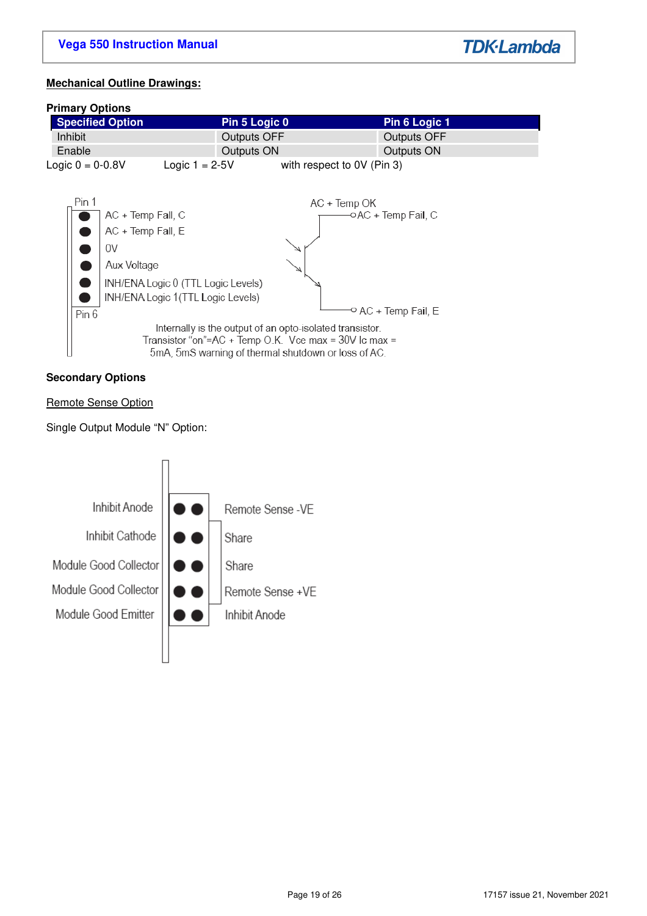**TDK-Lambda** 

# **Mechanical Outline Drawings:**

### **Primary Options**



### **Secondary Options**

# Remote Sense Option

Single Output Module "N" Option:

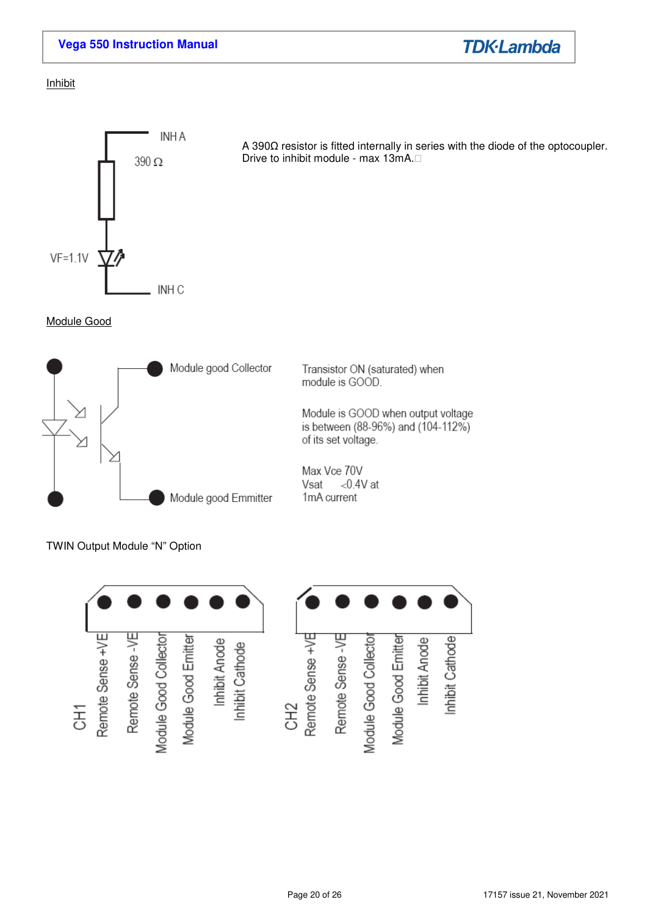

# **Inhibit**



Module Good



TWIN Output Module "N" Option



A 390Ω resistor is fitted internally in series with the diode of the optocoupler. Drive to inhibit module - max 13mA.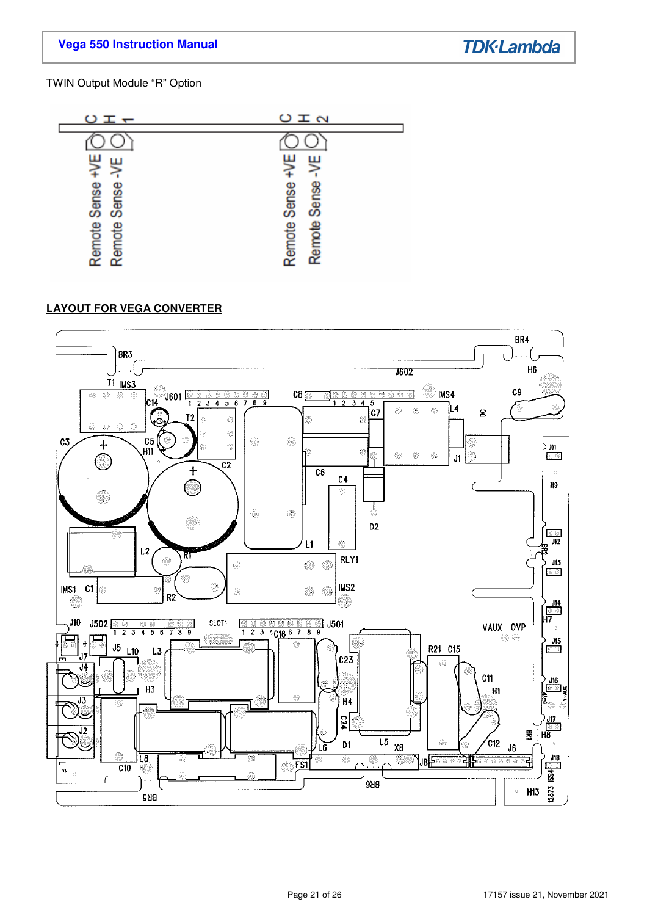# **Vega 550 Instruction Manual**

**TDK-Lambda** 

# TWIN Output Module "R" Option



# **LAYOUT FOR VEGA CONVERTER**

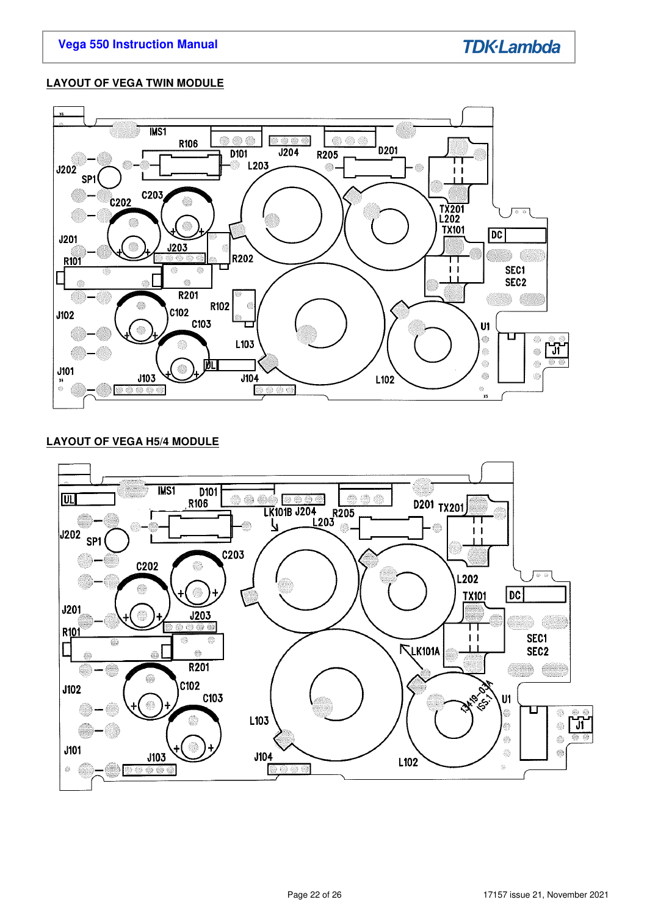# **LAYOUT OF VEGA TWIN MODULE**



# **LAYOUT OF VEGA H5/4 MODULE**

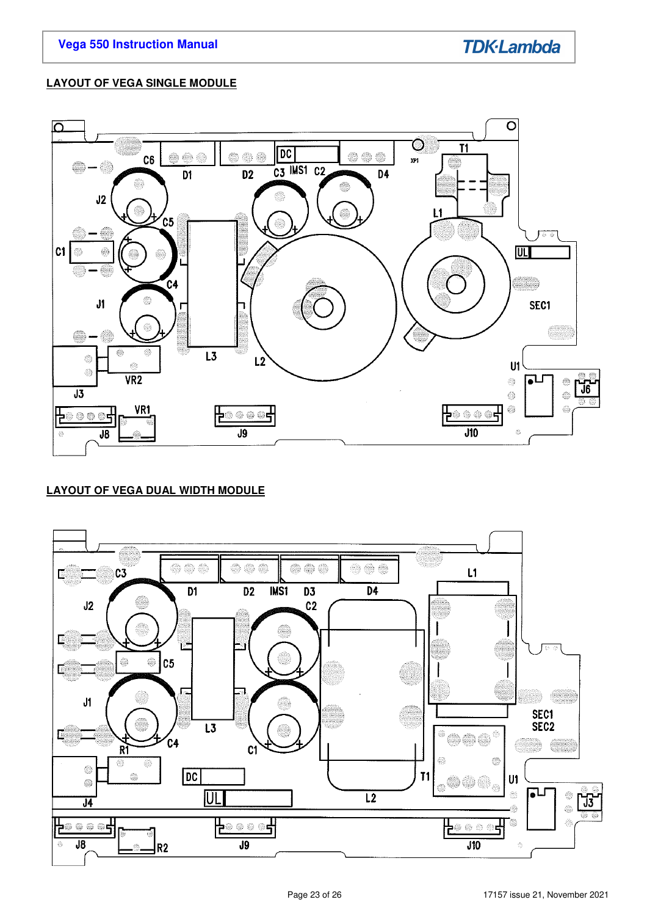# **LAYOUT OF VEGA SINGLE MODULE**



# **LAYOUT OF VEGA DUAL WIDTH MODULE**

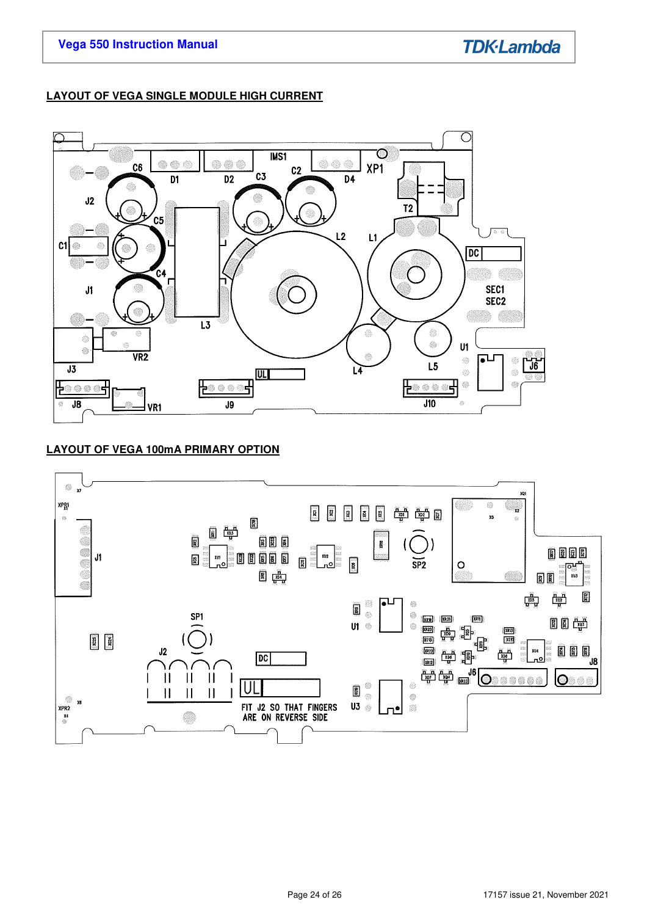# **LAYOUT OF VEGA SINGLE MODULE HIGH CURRENT**



# **LAYOUT OF VEGA 100mA PRIMARY OPTION**

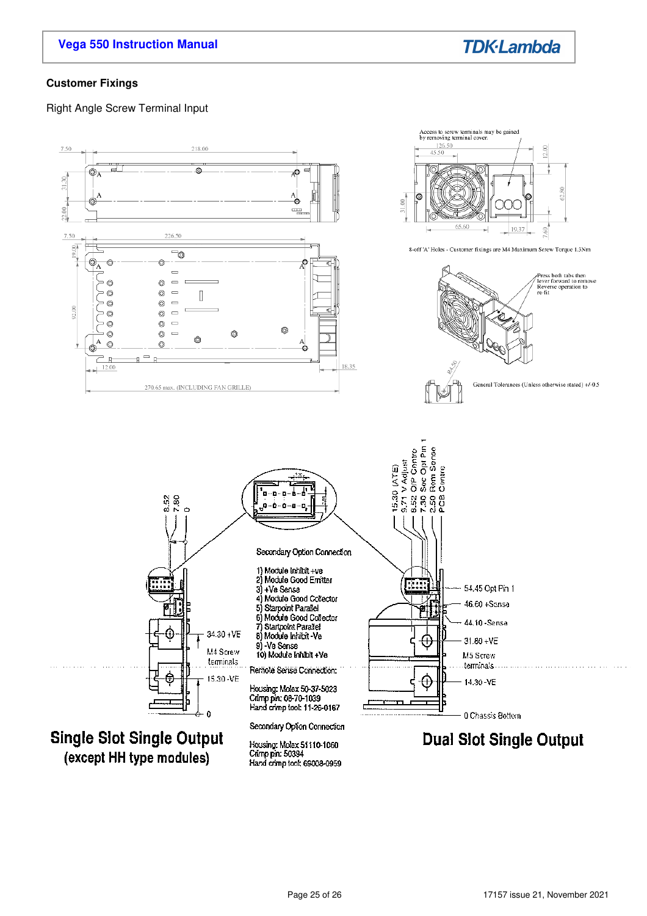# **Vega 550 Instruction Manual**



### **Customer Fixings**

Right Angle Screw Terminal Input